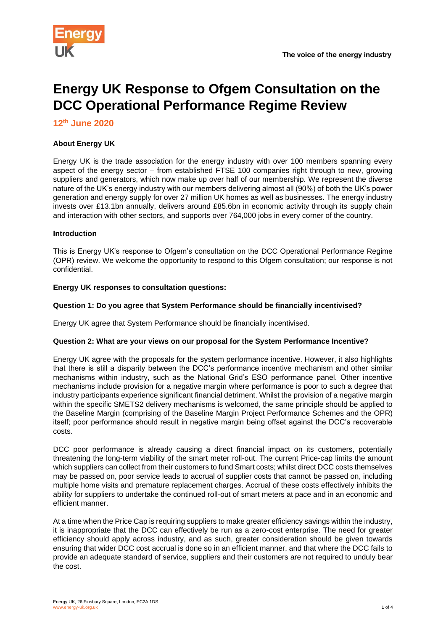

# **Energy UK Response to Ofgem Consultation on the DCC Operational Performance Regime Review**

**12 th June 2020**

# **About Energy UK**

Energy UK is the trade association for the energy industry with over 100 members spanning every aspect of the energy sector – from established FTSE 100 companies right through to new, growing suppliers and generators, which now make up over half of our membership. We represent the diverse nature of the UK's energy industry with our members delivering almost all (90%) of both the UK's power generation and energy supply for over 27 million UK homes as well as businesses. The energy industry invests over £13.1bn annually, delivers around £85.6bn in economic activity through its supply chain and interaction with other sectors, and supports over 764,000 jobs in every corner of the country.

# **Introduction**

This is Energy UK's response to Ofgem's consultation on the DCC Operational Performance Regime (OPR) review. We welcome the opportunity to respond to this Ofgem consultation; our response is not confidential.

#### **Energy UK responses to consultation questions:**

#### **Question 1: Do you agree that System Performance should be financially incentivised?**

Energy UK agree that System Performance should be financially incentivised.

#### **Question 2: What are your views on our proposal for the System Performance Incentive?**

Energy UK agree with the proposals for the system performance incentive. However, it also highlights that there is still a disparity between the DCC's performance incentive mechanism and other similar mechanisms within industry, such as the National Grid's ESO performance panel. Other incentive mechanisms include provision for a negative margin where performance is poor to such a degree that industry participants experience significant financial detriment. Whilst the provision of a negative margin within the specific SMETS2 delivery mechanisms is welcomed, the same principle should be applied to the Baseline Margin (comprising of the Baseline Margin Project Performance Schemes and the OPR) itself; poor performance should result in negative margin being offset against the DCC's recoverable costs.

DCC poor performance is already causing a direct financial impact on its customers, potentially threatening the long-term viability of the smart meter roll-out. The current Price-cap limits the amount which suppliers can collect from their customers to fund Smart costs; whilst direct DCC costs themselves may be passed on, poor service leads to accrual of supplier costs that cannot be passed on, including multiple home visits and premature replacement charges. Accrual of these costs effectively inhibits the ability for suppliers to undertake the continued roll-out of smart meters at pace and in an economic and efficient manner.

At a time when the Price Cap is requiring suppliers to make greater efficiency savings within the industry, it is inappropriate that the DCC can effectively be run as a zero-cost enterprise. The need for greater efficiency should apply across industry, and as such, greater consideration should be given towards ensuring that wider DCC cost accrual is done so in an efficient manner, and that where the DCC fails to provide an adequate standard of service, suppliers and their customers are not required to unduly bear the cost.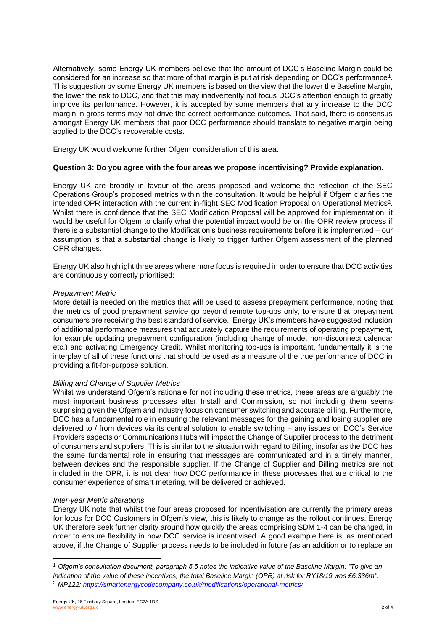Alternatively, some Energy UK members believe that the amount of DCC's Baseline Margin could be considered for an increase so that more of that margin is put at risk depending on DCC's performance $^{\rm 1}.$ This suggestion by some Energy UK members is based on the view that the lower the Baseline Margin, the lower the risk to DCC, and that this may inadvertently not focus DCC's attention enough to greatly improve its performance. However, it is accepted by some members that any increase to the DCC margin in gross terms may not drive the correct performance outcomes. That said, there is consensus amongst Energy UK members that poor DCC performance should translate to negative margin being applied to the DCC's recoverable costs.

Energy UK would welcome further Ofgem consideration of this area.

# **Question 3: Do you agree with the four areas we propose incentivising? Provide explanation.**

Energy UK are broadly in favour of the areas proposed and welcome the reflection of the SEC Operations Group's proposed metrics within the consultation. It would be helpful if Ofgem clarifies the intended OPR interaction with the current in-flight SEC Modification Proposal on Operational Metrics<sup>2</sup>. Whilst there is confidence that the SEC Modification Proposal will be approved for implementation, it would be useful for Ofgem to clarify what the potential impact would be on the OPR review process if there is a substantial change to the Modification's business requirements before it is implemented – our assumption is that a substantial change is likely to trigger further Ofgem assessment of the planned OPR changes.

Energy UK also highlight three areas where more focus is required in order to ensure that DCC activities are continuously correctly prioritised:

#### *Prepayment Metric*

More detail is needed on the metrics that will be used to assess prepayment performance, noting that the metrics of good prepayment service go beyond remote top-ups only, to ensure that prepayment consumers are receiving the best standard of service. Energy UK's members have suggested inclusion of additional performance measures that accurately capture the requirements of operating prepayment, for example updating prepayment configuration (including change of mode, non-disconnect calendar etc.) and activating Emergency Credit. Whilst monitoring top-ups is important, fundamentally it is the interplay of all of these functions that should be used as a measure of the true performance of DCC in providing a fit-for-purpose solution.

#### *Billing and Change of Supplier Metrics*

Whilst we understand Ofgem's rationale for not including these metrics, these areas are arguably the most important business processes after Install and Commission, so not including them seems surprising given the Ofgem and industry focus on consumer switching and accurate billing. Furthermore, DCC has a fundamental role in ensuring the relevant messages for the gaining and losing supplier are delivered to / from devices via its central solution to enable switching – any issues on DCC's Service Providers aspects or Communications Hubs will impact the Change of Supplier process to the detriment of consumers and suppliers. This is similar to the situation with regard to Billing, insofar as the DCC has the same fundamental role in ensuring that messages are communicated and in a timely manner, between devices and the responsible supplier. If the Change of Supplier and Billing metrics are not included in the OPR, it is not clear how DCC performance in these processes that are critical to the consumer experience of smart metering, will be delivered or achieved.

#### *Inter-year Metric alterations*

Energy UK note that whilst the four areas proposed for incentivisation are currently the primary areas for focus for DCC Customers in Ofgem's view, this is likely to change as the rollout continues. Energy UK therefore seek further clarity around how quickly the areas comprising SDM 1-4 can be changed, in order to ensure flexibility in how DCC service is incentivised. A good example here is, as mentioned above, if the Change of Supplier process needs to be included in future (as an addition or to replace an

<sup>1</sup> *Ofgem's consultation document, paragraph 5.5 notes the indicative value of the Baseline Margin: "To give an*  indication of the value of these incentives, the total Baseline Margin (OPR) at risk for RY18/19 was £6.336m".

<sup>2</sup> *MP122:<https://smartenergycodecompany.co.uk/modifications/operational-metrics/>*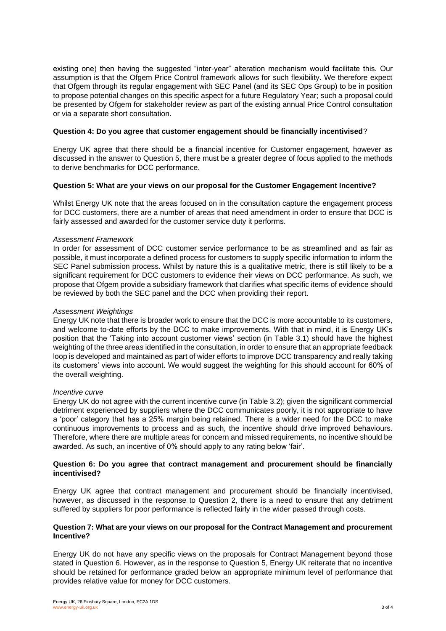existing one) then having the suggested "inter-year" alteration mechanism would facilitate this. Our assumption is that the Ofgem Price Control framework allows for such flexibility. We therefore expect that Ofgem through its regular engagement with SEC Panel (and its SEC Ops Group) to be in position to propose potential changes on this specific aspect for a future Regulatory Year; such a proposal could be presented by Ofgem for stakeholder review as part of the existing annual Price Control consultation or via a separate short consultation.

#### **Question 4: Do you agree that customer engagement should be financially incentivised**?

Energy UK agree that there should be a financial incentive for Customer engagement, however as discussed in the answer to Question 5, there must be a greater degree of focus applied to the methods to derive benchmarks for DCC performance.

#### **Question 5: What are your views on our proposal for the Customer Engagement Incentive?**

Whilst Energy UK note that the areas focused on in the consultation capture the engagement process for DCC customers, there are a number of areas that need amendment in order to ensure that DCC is fairly assessed and awarded for the customer service duty it performs.

#### *Assessment Framework*

In order for assessment of DCC customer service performance to be as streamlined and as fair as possible, it must incorporate a defined process for customers to supply specific information to inform the SEC Panel submission process. Whilst by nature this is a qualitative metric, there is still likely to be a significant requirement for DCC customers to evidence their views on DCC performance. As such, we propose that Ofgem provide a subsidiary framework that clarifies what specific items of evidence should be reviewed by both the SEC panel and the DCC when providing their report.

#### *Assessment Weightings*

Energy UK note that there is broader work to ensure that the DCC is more accountable to its customers, and welcome to-date efforts by the DCC to make improvements. With that in mind, it is Energy UK's position that the 'Taking into account customer views' section (in Table 3.1) should have the highest weighting of the three areas identified in the consultation, in order to ensure that an appropriate feedback loop is developed and maintained as part of wider efforts to improve DCC transparency and really taking its customers' views into account. We would suggest the weighting for this should account for 60% of the overall weighting.

#### *Incentive curve*

Energy UK do not agree with the current incentive curve (in Table 3.2); given the significant commercial detriment experienced by suppliers where the DCC communicates poorly, it is not appropriate to have a 'poor' category that has a 25% margin being retained. There is a wider need for the DCC to make continuous improvements to process and as such, the incentive should drive improved behaviours. Therefore, where there are multiple areas for concern and missed requirements, no incentive should be awarded. As such, an incentive of 0% should apply to any rating below 'fair'.

#### **Question 6: Do you agree that contract management and procurement should be financially incentivised?**

Energy UK agree that contract management and procurement should be financially incentivised, however, as discussed in the response to Question 2, there is a need to ensure that any detriment suffered by suppliers for poor performance is reflected fairly in the wider passed through costs.

#### **Question 7: What are your views on our proposal for the Contract Management and procurement Incentive?**

Energy UK do not have any specific views on the proposals for Contract Management beyond those stated in Question 6. However, as in the response to Question 5, Energy UK reiterate that no incentive should be retained for performance graded below an appropriate minimum level of performance that provides relative value for money for DCC customers.